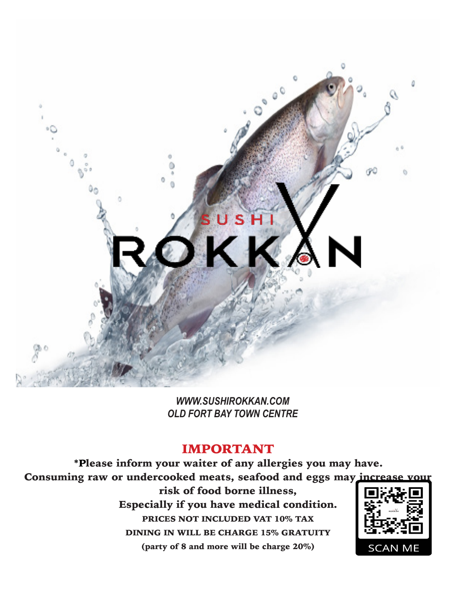#### IMPORTANT

\*Please inform your waiter of any allergies you may have. Consuming raw or undercooked meats, seafood and eggs may increase your risk of food borne illness, Especially if you have medical condition. PRICES NOT INCLUDED VAT 10% TAX DINING IN WILL BE CHARGE 15% GRATUITY (party of 8 and more will be charge 20%) **SCAN ME** 



*WWW.SUSHIROKKAN.COM OLD FORT BAY TOWN CENTRE*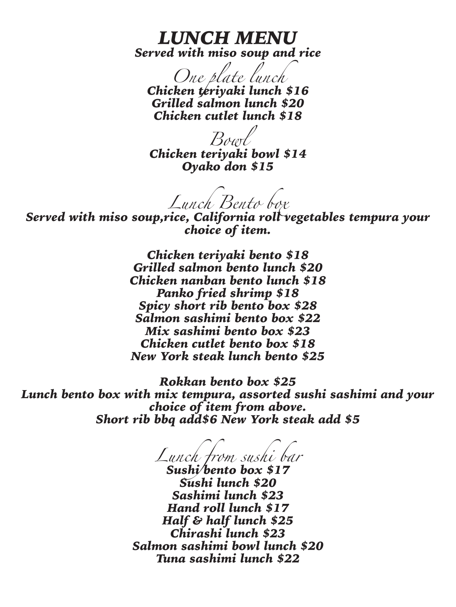### *LUNCH MENU Served with miso soup and rice*

*One plate lunch Chicken teriyaki lunch \$16 Grilled salmon lunch \$20 Chicken cutlet lunch \$18*

*Bowl Chicken teriyaki bowl \$14 Oyako don \$15*

*Lunch Bento box*

*Served with miso soup,rice, California roll vegetables tempura your choice of item.*

> *Chicken teriyaki bento \$18 Grilled salmon bento lunch \$20 Chicken nanban bento lunch \$18 Panko fried shrimp \$18 Spicy short rib bento box \$28 Salmon sashimi bento box \$22 Mix sashimi bento box \$23 Chicken cutlet bento box \$18 New York steak lunch bento \$25*

*Rokkan bento box \$25 Lunch bento box with mix tempura, assorted sushi sashimi and your choice of item from above. Short rib bbq add\$6 New York steak add \$5*

*Lunch from sushi bar Sushi bento box \$17*

*Sushi lunch \$20 Sashimi lunch \$23 Hand roll lunch \$17 Half & half lunch \$25 Chirashi lunch \$23 Salmon sashimi bowl lunch \$20 Tuna sashimi lunch \$22*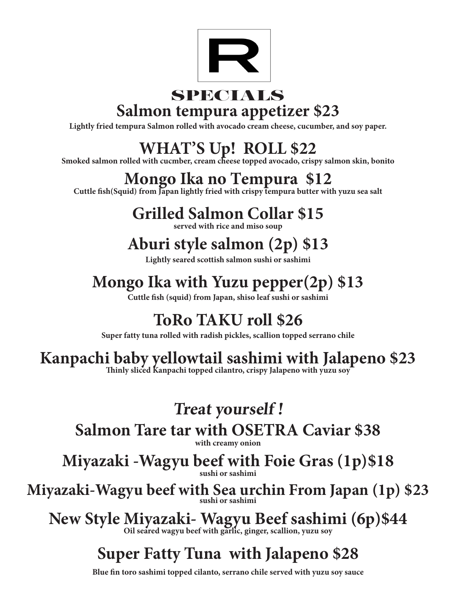

### SPECIALS **Salmon tempura appetizer \$23**

**Lightly fried tempura Salmon rolled with avocado cream cheese, cucumber, and soy paper.**

**WHAT'S Up! ROLL \$22 Smoked salmon rolled with cucmber, cream cheese topped avocado, crispy salmon skin, bonito** 

## **Mongo Ika no Tempura \$12**<br>**Cuttle fish(Squid) from Japan lightly fried with crispy tempura butter with yuzu sea salt**

### **Grilled Salmon Collar \$15**

**served with rice and miso soup** 

### **Aburi style salmon (2p) \$13**

**Lightly seared scottish salmon sushi or sashimi** 

## **Mongo Ika with Yuzu pepper(2p) \$13**

**Cuttle fish (squid) from Japan, shiso leaf sushi or sashimi** 

### **ToRo TAKU roll \$26**

**Super fatty tuna rolled with radish pickles, scallion topped serrano chile** 

# **Kanpachi baby yellowtail sashimi with Jalapeno \$23 Thinly sliced Kanpachi topped cilantro, crispy Jalapeno with yuzu soy**

# **Treat yourself !**

**Salmon Tare tar with OSETRA Caviar \$38 with creamy onion** 

**Miyazaki -Wagyu beef with Foie Gras (1p)\$18 sushi or sashimi** 

## **Miyazaki-Wagyu beef with Sea urchin From Japan (1p) \$23 sushi or sashimi**

## **New Style Miyazaki- Wagyu Beef sashimi (6p)\$44 Oil seared wagyu beef with garlic, ginger, scallion, yuzu soy**

### **Super Fatty Tuna with Jalapeno \$28**

**Blue fin toro sashimi topped cilanto, serrano chile served with yuzu soy sauce**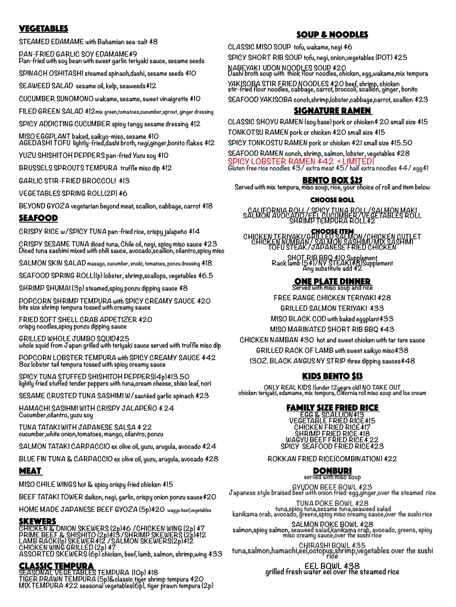#### VEGETABLES

**STEAMED EDAMAME with Bahamian sea-salt \$8**

**PAN-FRIED GARLIC SOY EDAMAME\$9 Pan-fried with soy bean with sweet garlic teriyaki sauce, sesame seeds**

**SPINACH OSHITASHI steamed spinach,dashi, sesame seeds \$10**

**SEAWEED SALAD sesame oil, kelp, seaweeds\$12**

**CUCUMBER SUNOMONO wakame, sesame, sweet vinaigrette \$10**

**FILED GREEN SALAD \$12mix green,tomatoes,cucumber,sprout, ginger dressing** 

**SPICY ADDICTING CUCUMBER spicy tangy sesame dressing \$12**

**MISO EGGPLANT baked, saikyo-miso, sesame \$10 AGEDASHI TOFU lightly-fried,dashi broth, negi,ginger,bonito flakes \$12**

**YUZU SHISHITOH PEPPERS pan-fried Yuzu soy \$10**

**BRUSSELS SPROUTS TEMPURA truffle miso dip \$12**

**GARLIC STIR-FRIED BROCCOLI \$13**

**VEGETABLES SPRING ROLL(2P) \$6**

**BEYOND GYOZA vegetarian beyond meat, scallion, cabbage, carrot \$18**

#### SEAFOOD

**CRISPY RICE w/SPICY TUNA pan-fried rice, crispy jalapeño \$14**

**CRISPY SESAME TUNA diced tuna, Chile oil, negi, spicy miso sauce \$23 Diced tuna sashimi mixed with chili sauce, avocado,scallion, cilantro,spicy miso**

**SALMON SKIN SALAD masago, cucumber, enoki, tomatoes, ponzu dressing \$18**

**SEAFOOD SPRING ROLL(1p) lobster, shrimp,scallops, vegetables \$6.5**

**SHRIMP SHUMAI (3p) steamed,spicy ponzu dipping sauce \$8**

**POPCORN SHRIMP TEMPURA with SPICY CREAMY SAUCE \$20 bite size shrimp tempura tossed with creamy sauce** 

**FRIED SOFT SHELL CRAB APPETIZER \$20 crispy noodles,spicy ponzu dipping sauce** 

**GRILLED WHOLE JUMBO SQUID\$25 whole squid from Japan grilled with teriyaki sauce served with truffle miso dip** 

**POPCORN LOBSTER TEMPURA with SPICY CREAMY SAUCE \$42 8oz lobster tail tempura tossed with spicy creamy sauce** 

**SPICY TUNA STUFFED SHISHITOH PEPPERS(4p)\$13.50 lightly fried stuffed tender peppers with tuna,cream cheese, shiso leaf, nori** 

**SESAME CRUSTED TUNA SASHIMI W/sautéed garlic spinach \$23**

**HAMACHI SASIHMI WITH CRISPY JALAPEÑO \$ 24 Cucumber,cilantro, yuzu soy** 

**TUNA TATAKI WITH JAPANESE SALSA \$ 22 cucumber,white onion,tomatoes, mango, cilantro, ponzu** 

**SALMON TATAKI CARPACCIO ex olive oil, yuzu, arugula, avocado \$24**

**BLUE FIN TUNA & CARPACCIO ex olive oil, yuzu, arugula, avocado \$28**

Meat



**BEEF TATAKI TOWER daikon, negi, garlic, crispy onion ponzu sauce\$20**

**HOME MADE JAPANESE BEEF GYOZA (5p)\$20 wagyu beef,vegetables** 

#### **SKEWERS**

**CHICKEN & ONION SKEWERS (2p)\$6 /CHICKEN WING (2p) \$7 PRIME BEEF & SHISHITO (2p)\$13/SHRIMP SKEWERS (2p)\$12 LAMB RACK(1p) SKEWER\$12 /SALMON SKEWERS(2p)\$12 CHICKEN WING GRILLED (2p) \$7 ASSORTED SKEWERS (6p) chicken, beef, lamb, salmon, shrimp,wing \$33**

#### CLASSIC TEMPURA

**SEASONAL VEGETABLES TEMPURA (10p) \$18 TIGER PRAWN TEMPURA (5p)&classic tiger shrimp tempura \$20 MIX TEMPURA \$22 seasonal vegetables(6p), tiger prawn tempura (2p)**

#### SOUP & NOODLES

**CLASSIC MISO SOUP tofu, wakame, negi \$6**

**SPICY SHORT RIB SOUP tofu, negi, onion,vegetables (POT) \$25**

**NABEYAKI UDON NOODLES SOUP \$20 Dashi broth soup with thick flour noodles, chicken, egg,wakame,mix tempura** 

**YAKISOBA STIR FRIED NOODLES \$20 beef, shrimp, chicken stir-fried flour noodles, cabbage, carrot, broccoli, scallion, ginger, bonito** 

**SEAFOOD YAKISOBA conch,shrimp,lobster,cabbage,carrot, scallion \$23**

#### SIGNATURE RAMEN

**CLASSIC SHOYU RAMEN (soy base) pork or chicken\$ 20 small size \$15 TONKOTSU RAMEN pork or chicken \$20 small size \$15**

**SPICY TONKOSTU RAMEN pork or chicken \$21 small size \$15.50**

**SEAFOOD RAMEN conch, shrimp, salmon, lobster, vegetables \$28 SPICY LOBSTER RAMEN \$42 < LIMITED!** 

**Gluten free rice noodles \$3/ extra meat \$5/ half extra noodles \$4/ egg\$1**

**BENTO BOX \$25**<br>Served with mix tempura, miso soup, rice, your choice of roll and item below

#### CHOOSE ROLL

**CALIFORNIA ROLL/ SPICY TUNA ROLL/SALMON MAKI SALMON AVOCADO/EEL CUCUMBER/VEGETABLES ROLL SHRIMP TEMPURA ROLL\$2**

**CHOOSE ITEM**<br>CHICKEN TERIYAKI/GRILLED SALMON/CHICKEN CUTLET<br>CHICKEN NUMBAN/ SALMON SASHIMI/MIX SASHIMI<br>TOFU STEAK/JAPANESE FRIED CHICKEN

**SHOT RIB BBQ \$10 Supplement Rack lamb (5\$)/NY STEAK(\$8)Supplement Any substitute add \$2**

### ONE PLATE DINNER **Served with miso soup and rice**

**FREE RANGE CHICKEN TERIYAKI \$28**

**GRILLED SALMON TERIYAKI \$33**

**MISO BLACK COD with baked eggplant\$33**

**MISO MARINATED SHORT RIB BBQ \$43** 

**CHICKEN NAMBAN \$30 hot and sweet chicken with tar tare sauce GRILLED RACK OF LAMB with sweet saikyo miso\$38 13OZ. BLACK ANGUS NY STRIP three dipping sauces\$48**

#### KIDS BENTO \$13

**ONLY REAL KIDS !(under 12years old) NO TAKE OUT chicken teriyaki, edamame, mix tempura, Clifornia roll miso soup and Ice cream**

#### FAMILY SIZE FRIED RICE

**EGG & SCALLION\$13 VEGETABLE FRIED RICE\$15 CHICKEN FRIED RICE\$17 SHRIMP FRIED RICE \$18 WAGYU BEEF FRIED RICE\$ 22 SPICY SEAFOOD FRIED RICE\$23**

**ROKKAN FRIED RICE(COMBINATION) \$22**





**GYUDON BEEF BOWL \$23 Japanese style braised beef with onion fried-egg,ginger,over the steamed rice**

**TUNA POKE BOWL \$28 tuna,spicy tuna,sesame tuna,seaweed salad kanikama crab, avocado, greens,spicy miso creamy sauce,over the sushi rice SALMON POKE BOWL \$28 salmon,spicy salmon, seaweed salad,kanikama crab, avocado, greens, spicy miso creamy sauce,over the sushi rice CHIRASHI BOWL \$35 tuna,salmon,hamachi,eel,octopus,shrimp,vegetables over the sushi rice**

**EEL BOWL \$38 grilled fresh water eel over the steamed rice**